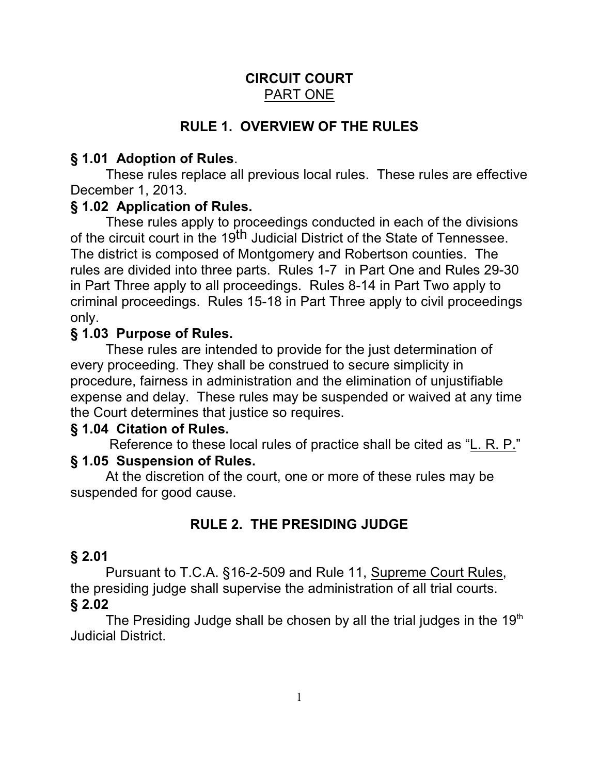## **CIRCUIT COURT** PART ONE

# **RULE 1. OVERVIEW OF THE RULES**

## **§ 1.01 Adoption of Rules**.

These rules replace all previous local rules. These rules are effective December 1, 2013.

### **§ 1.02 Application of Rules.**

These rules apply to proceedings conducted in each of the divisions of the circuit court in the 19<sup>th</sup> Judicial District of the State of Tennessee. The district is composed of Montgomery and Robertson counties. The rules are divided into three parts. Rules 1-7 in Part One and Rules 29-30 in Part Three apply to all proceedings. Rules 8-14 in Part Two apply to criminal proceedings. Rules 15-18 in Part Three apply to civil proceedings only.

## **§ 1.03 Purpose of Rules.**

These rules are intended to provide for the just determination of every proceeding. They shall be construed to secure simplicity in procedure, fairness in administration and the elimination of unjustifiable expense and delay. These rules may be suspended or waived at any time the Court determines that justice so requires.

# **§ 1.04 Citation of Rules.**

 Reference to these local rules of practice shall be cited as "L. R. P." **§ 1.05 Suspension of Rules.**

At the discretion of the court, one or more of these rules may be suspended for good cause.

# **RULE 2. THE PRESIDING JUDGE**

### **§ 2.01**

Pursuant to T.C.A. §16-2-509 and Rule 11, Supreme Court Rules, the presiding judge shall supervise the administration of all trial courts. **§ 2.02**

The Presiding Judge shall be chosen by all the trial judges in the  $19<sup>th</sup>$ Judicial District.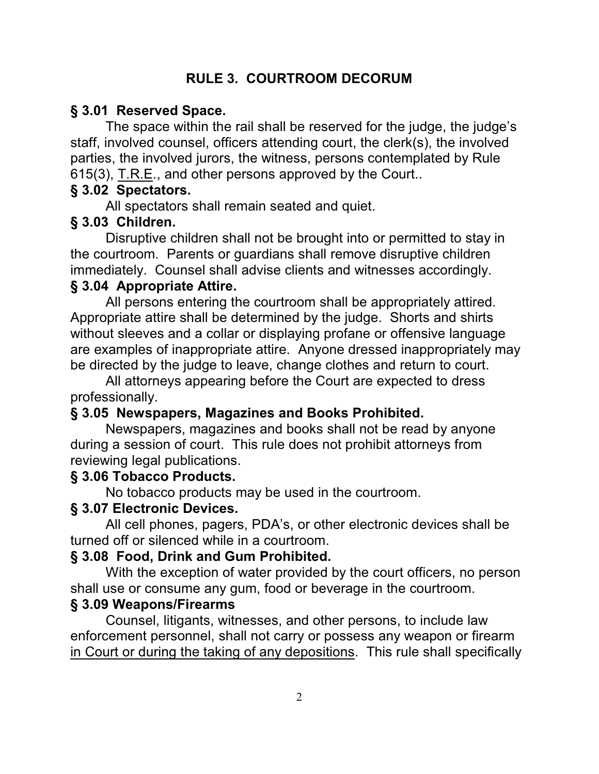## **RULE 3. COURTROOM DECORUM**

### **§ 3.01 Reserved Space.**

The space within the rail shall be reserved for the judge, the judge's staff, involved counsel, officers attending court, the clerk(s), the involved parties, the involved jurors, the witness, persons contemplated by Rule 615(3), T.R.E., and other persons approved by the Court..

### **§ 3.02 Spectators.**

All spectators shall remain seated and quiet.

### **§ 3.03 Children.**

Disruptive children shall not be brought into or permitted to stay in the courtroom. Parents or guardians shall remove disruptive children immediately. Counsel shall advise clients and witnesses accordingly. **§ 3.04 Appropriate Attire.**

All persons entering the courtroom shall be appropriately attired. Appropriate attire shall be determined by the judge. Shorts and shirts without sleeves and a collar or displaying profane or offensive language are examples of inappropriate attire. Anyone dressed inappropriately may be directed by the judge to leave, change clothes and return to court.

All attorneys appearing before the Court are expected to dress professionally.

### **§ 3.05 Newspapers, Magazines and Books Prohibited.**

Newspapers, magazines and books shall not be read by anyone during a session of court. This rule does not prohibit attorneys from reviewing legal publications.

### **§ 3.06 Tobacco Products.**

No tobacco products may be used in the courtroom.

### **§ 3.07 Electronic Devices.**

All cell phones, pagers, PDA's, or other electronic devices shall be turned off or silenced while in a courtroom.

### **§ 3.08 Food, Drink and Gum Prohibited.**

With the exception of water provided by the court officers, no person shall use or consume any gum, food or beverage in the courtroom.

#### **§ 3.09 Weapons/Firearms**

Counsel, litigants, witnesses, and other persons, to include law enforcement personnel, shall not carry or possess any weapon or firearm in Court or during the taking of any depositions. This rule shall specifically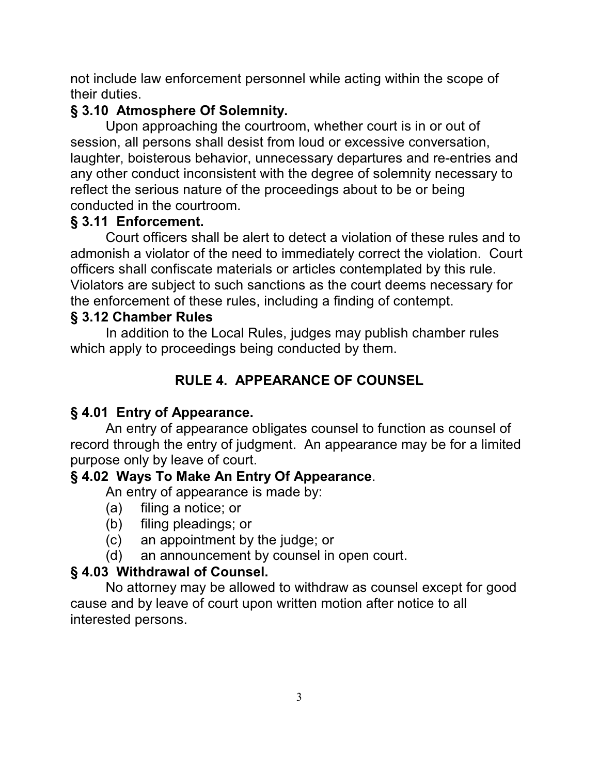not include law enforcement personnel while acting within the scope of their duties.

# **§ 3.10 Atmosphere Of Solemnity.**

Upon approaching the courtroom, whether court is in or out of session, all persons shall desist from loud or excessive conversation, laughter, boisterous behavior, unnecessary departures and re-entries and any other conduct inconsistent with the degree of solemnity necessary to reflect the serious nature of the proceedings about to be or being conducted in the courtroom.

# **§ 3.11 Enforcement.**

Court officers shall be alert to detect a violation of these rules and to admonish a violator of the need to immediately correct the violation. Court officers shall confiscate materials or articles contemplated by this rule. Violators are subject to such sanctions as the court deems necessary for the enforcement of these rules, including a finding of contempt.

# **§ 3.12 Chamber Rules**

In addition to the Local Rules, judges may publish chamber rules which apply to proceedings being conducted by them.

# **RULE 4. APPEARANCE OF COUNSEL**

# **§ 4.01 Entry of Appearance.**

An entry of appearance obligates counsel to function as counsel of record through the entry of judgment. An appearance may be for a limited purpose only by leave of court.

# **§ 4.02 Ways To Make An Entry Of Appearance**.

An entry of appearance is made by:

- (a) filing a notice; or
- (b) filing pleadings; or
- (c) an appointment by the judge; or
- (d) an announcement by counsel in open court.

# **§ 4.03 Withdrawal of Counsel.**

No attorney may be allowed to withdraw as counsel except for good cause and by leave of court upon written motion after notice to all interested persons.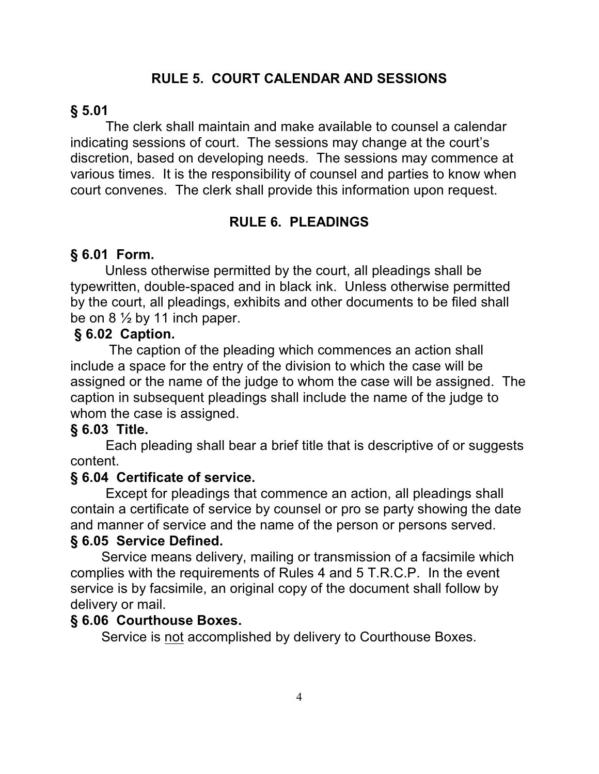### **RULE 5. COURT CALENDAR AND SESSIONS**

### **§ 5.01**

The clerk shall maintain and make available to counsel a calendar indicating sessions of court. The sessions may change at the court's discretion, based on developing needs. The sessions may commence at various times. It is the responsibility of counsel and parties to know when court convenes. The clerk shall provide this information upon request.

### **RULE 6. PLEADINGS**

### **§ 6.01 Form.**

 Unless otherwise permitted by the court, all pleadings shall be typewritten, double-spaced and in black ink. Unless otherwise permitted by the court, all pleadings, exhibits and other documents to be filed shall be on  $8\frac{1}{2}$  by 11 inch paper.

#### **§ 6.02 Caption.**

 The caption of the pleading which commences an action shall include a space for the entry of the division to which the case will be assigned or the name of the judge to whom the case will be assigned. The caption in subsequent pleadings shall include the name of the judge to whom the case is assigned.

### **§ 6.03 Title.**

Each pleading shall bear a brief title that is descriptive of or suggests content.

### **§ 6.04 Certificate of service.**

Except for pleadings that commence an action, all pleadings shall contain a certificate of service by counsel or pro se party showing the date and manner of service and the name of the person or persons served.

#### **§ 6.05 Service Defined.**

 Service means delivery, mailing or transmission of a facsimile which complies with the requirements of Rules 4 and 5 T.R.C.P. In the event service is by facsimile, an original copy of the document shall follow by delivery or mail.

#### **§ 6.06 Courthouse Boxes.**

Service is not accomplished by delivery to Courthouse Boxes.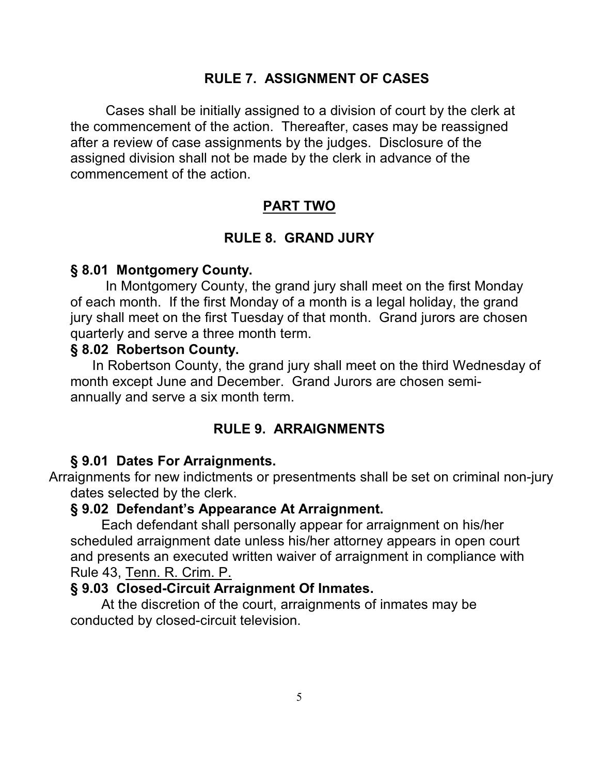### **RULE 7. ASSIGNMENT OF CASES**

Cases shall be initially assigned to a division of court by the clerk at the commencement of the action. Thereafter, cases may be reassigned after a review of case assignments by the judges. Disclosure of the assigned division shall not be made by the clerk in advance of the commencement of the action.

### **PART TWO**

### **RULE 8. GRAND JURY**

#### **§ 8.01 Montgomery County.**

In Montgomery County, the grand jury shall meet on the first Monday of each month. If the first Monday of a month is a legal holiday, the grand jury shall meet on the first Tuesday of that month. Grand jurors are chosen quarterly and serve a three month term.

#### **§ 8.02 Robertson County.**

 In Robertson County, the grand jury shall meet on the third Wednesday of month except June and December. Grand Jurors are chosen semiannually and serve a six month term.

### **RULE 9. ARRAIGNMENTS**

#### **§ 9.01 Dates For Arraignments.**

 Arraignments for new indictments or presentments shall be set on criminal non-jury dates selected by the clerk.

#### **§ 9.02 Defendant's Appearance At Arraignment.**

 Each defendant shall personally appear for arraignment on his/her scheduled arraignment date unless his/her attorney appears in open court and presents an executed written waiver of arraignment in compliance with Rule 43, Tenn. R. Crim. P.

### **§ 9.03 Closed-Circuit Arraignment Of Inmates.**

 At the discretion of the court, arraignments of inmates may be conducted by closed-circuit television.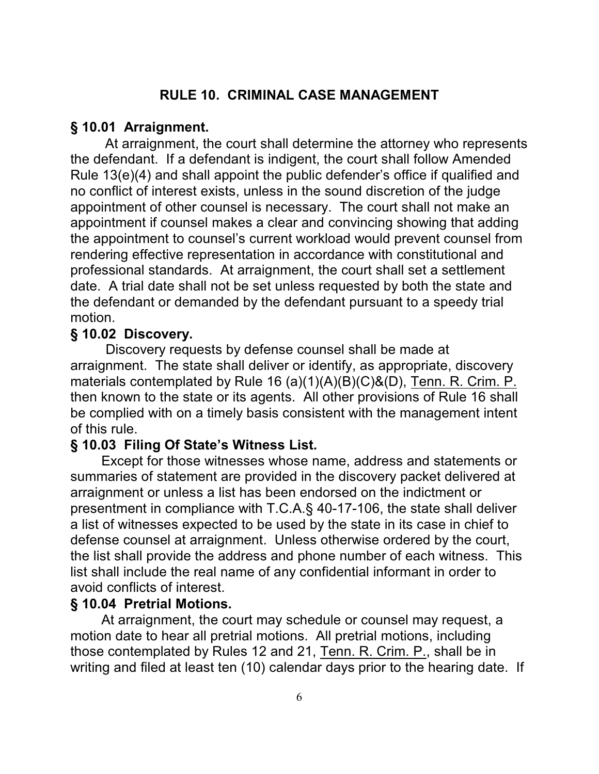### **RULE 10. CRIMINAL CASE MANAGEMENT**

#### **§ 10.01 Arraignment.**

At arraignment, the court shall determine the attorney who represents the defendant. If a defendant is indigent, the court shall follow Amended Rule 13(e)(4) and shall appoint the public defender's office if qualified and no conflict of interest exists, unless in the sound discretion of the judge appointment of other counsel is necessary. The court shall not make an appointment if counsel makes a clear and convincing showing that adding the appointment to counsel's current workload would prevent counsel from rendering effective representation in accordance with constitutional and professional standards. At arraignment, the court shall set a settlement date. A trial date shall not be set unless requested by both the state and the defendant or demanded by the defendant pursuant to a speedy trial motion.

#### **§ 10.02 Discovery.**

Discovery requests by defense counsel shall be made at arraignment. The state shall deliver or identify, as appropriate, discovery materials contemplated by Rule 16 (a)(1)(A)(B)(C)&(D), Tenn. R. Crim. P. then known to the state or its agents. All other provisions of Rule 16 shall be complied with on a timely basis consistent with the management intent of this rule.

#### **§ 10.03 Filing Of State's Witness List.**

 Except for those witnesses whose name, address and statements or summaries of statement are provided in the discovery packet delivered at arraignment or unless a list has been endorsed on the indictment or presentment in compliance with T.C.A.§ 40-17-106, the state shall deliver a list of witnesses expected to be used by the state in its case in chief to defense counsel at arraignment. Unless otherwise ordered by the court, the list shall provide the address and phone number of each witness. This list shall include the real name of any confidential informant in order to avoid conflicts of interest.

#### **§ 10.04 Pretrial Motions.**

At arraignment, the court may schedule or counsel may request, a motion date to hear all pretrial motions. All pretrial motions, including those contemplated by Rules 12 and 21, Tenn. R. Crim. P., shall be in writing and filed at least ten (10) calendar days prior to the hearing date. If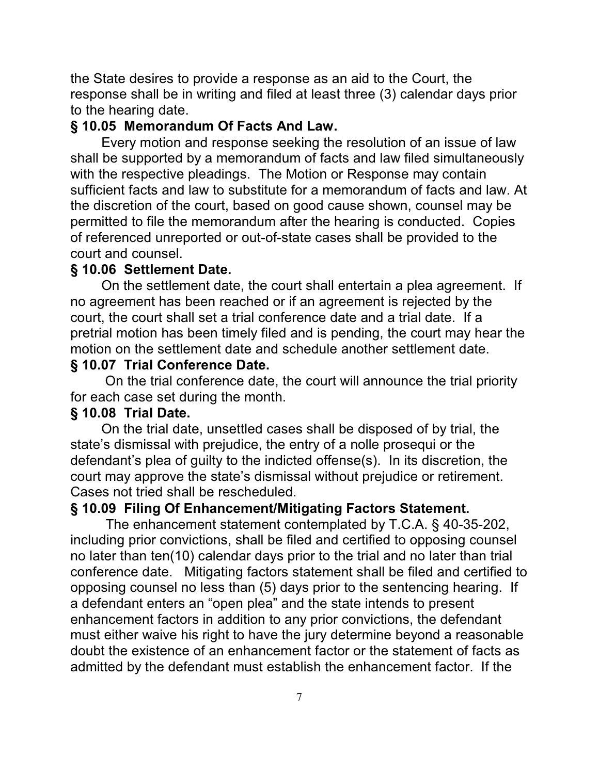the State desires to provide a response as an aid to the Court, the response shall be in writing and filed at least three (3) calendar days prior to the hearing date.

#### **§ 10.05 Memorandum Of Facts And Law.**

Every motion and response seeking the resolution of an issue of law shall be supported by a memorandum of facts and law filed simultaneously with the respective pleadings. The Motion or Response may contain sufficient facts and law to substitute for a memorandum of facts and law. At the discretion of the court, based on good cause shown, counsel may be permitted to file the memorandum after the hearing is conducted. Copies of referenced unreported or out-of-state cases shall be provided to the court and counsel.

### **§ 10.06 Settlement Date.**

On the settlement date, the court shall entertain a plea agreement. If no agreement has been reached or if an agreement is rejected by the court, the court shall set a trial conference date and a trial date. If a pretrial motion has been timely filed and is pending, the court may hear the motion on the settlement date and schedule another settlement date.

### **§ 10.07 Trial Conference Date.**

 On the trial conference date, the court will announce the trial priority for each case set during the month.

### **§ 10.08 Trial Date.**

 On the trial date, unsettled cases shall be disposed of by trial, the state's dismissal with prejudice, the entry of a nolle prosequi or the defendant's plea of guilty to the indicted offense(s). In its discretion, the court may approve the state's dismissal without prejudice or retirement. Cases not tried shall be rescheduled.

### **§ 10.09 Filing Of Enhancement/Mitigating Factors Statement.**

The enhancement statement contemplated by T.C.A. § 40-35-202, including prior convictions, shall be filed and certified to opposing counsel no later than ten(10) calendar days prior to the trial and no later than trial conference date. Mitigating factors statement shall be filed and certified to opposing counsel no less than (5) days prior to the sentencing hearing. If a defendant enters an "open plea" and the state intends to present enhancement factors in addition to any prior convictions, the defendant must either waive his right to have the jury determine beyond a reasonable doubt the existence of an enhancement factor or the statement of facts as admitted by the defendant must establish the enhancement factor. If the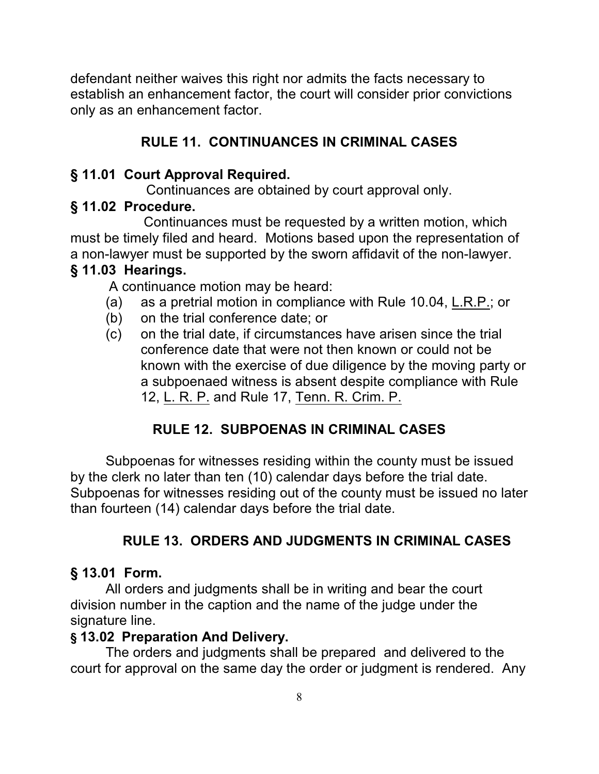defendant neither waives this right nor admits the facts necessary to establish an enhancement factor, the court will consider prior convictions only as an enhancement factor.

# **RULE 11. CONTINUANCES IN CRIMINAL CASES**

# **§ 11.01 Court Approval Required.**

Continuances are obtained by court approval only.

# **§ 11.02 Procedure.**

 Continuances must be requested by a written motion, which must be timely filed and heard. Motions based upon the representation of a non-lawyer must be supported by the sworn affidavit of the non-lawyer.

# **§ 11.03 Hearings.**

A continuance motion may be heard:

- (a) as a pretrial motion in compliance with Rule 10.04, L.R.P.; or
- (b) on the trial conference date; or
- (c) on the trial date, if circumstances have arisen since the trial conference date that were not then known or could not be known with the exercise of due diligence by the moving party or a subpoenaed witness is absent despite compliance with Rule 12, L. R. P. and Rule 17, Tenn. R. Crim. P.

# **RULE 12. SUBPOENAS IN CRIMINAL CASES**

Subpoenas for witnesses residing within the county must be issued by the clerk no later than ten (10) calendar days before the trial date. Subpoenas for witnesses residing out of the county must be issued no later than fourteen (14) calendar days before the trial date.

# **RULE 13. ORDERS AND JUDGMENTS IN CRIMINAL CASES**

# **§ 13.01 Form.**

All orders and judgments shall be in writing and bear the court division number in the caption and the name of the judge under the signature line.

# **§ 13.02 Preparation And Delivery.**

The orders and judgments shall be prepared and delivered to the court for approval on the same day the order or judgment is rendered. Any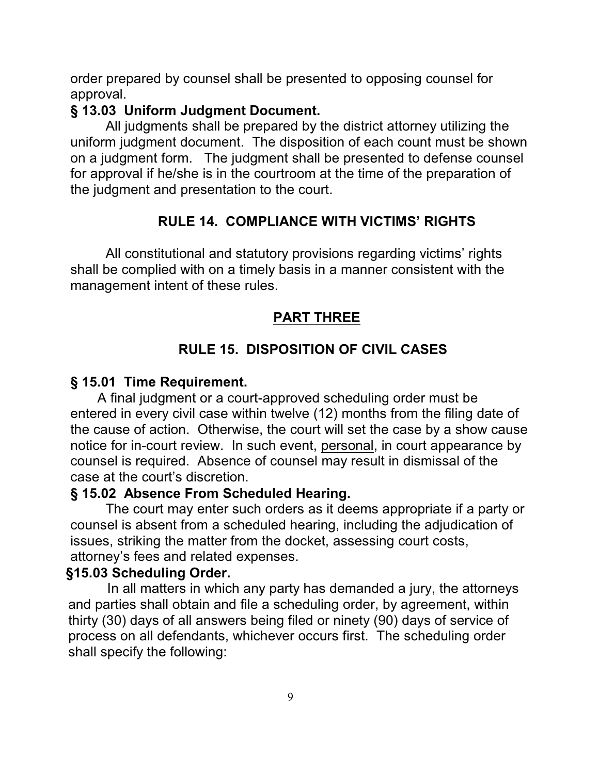order prepared by counsel shall be presented to opposing counsel for approval.

### **§ 13.03 Uniform Judgment Document.**

All judgments shall be prepared by the district attorney utilizing the uniform judgment document. The disposition of each count must be shown on a judgment form. The judgment shall be presented to defense counsel for approval if he/she is in the courtroom at the time of the preparation of the judgment and presentation to the court.

# **RULE 14. COMPLIANCE WITH VICTIMS' RIGHTS**

All constitutional and statutory provisions regarding victims' rights shall be complied with on a timely basis in a manner consistent with the management intent of these rules.

# **PART THREE**

# **RULE 15. DISPOSITION OF CIVIL CASES**

### **§ 15.01 Time Requirement.**

 A final judgment or a court-approved scheduling order must be entered in every civil case within twelve (12) months from the filing date of the cause of action. Otherwise, the court will set the case by a show cause notice for in-court review. In such event, personal, in court appearance by counsel is required. Absence of counsel may result in dismissal of the case at the court's discretion.

### **§ 15.02 Absence From Scheduled Hearing.**

The court may enter such orders as it deems appropriate if a party or counsel is absent from a scheduled hearing, including the adjudication of issues, striking the matter from the docket, assessing court costs, attorney's fees and related expenses.

### **§15.03 Scheduling Order.**

 In all matters in which any party has demanded a jury, the attorneys and parties shall obtain and file a scheduling order, by agreement, within thirty (30) days of all answers being filed or ninety (90) days of service of process on all defendants, whichever occurs first. The scheduling order shall specify the following: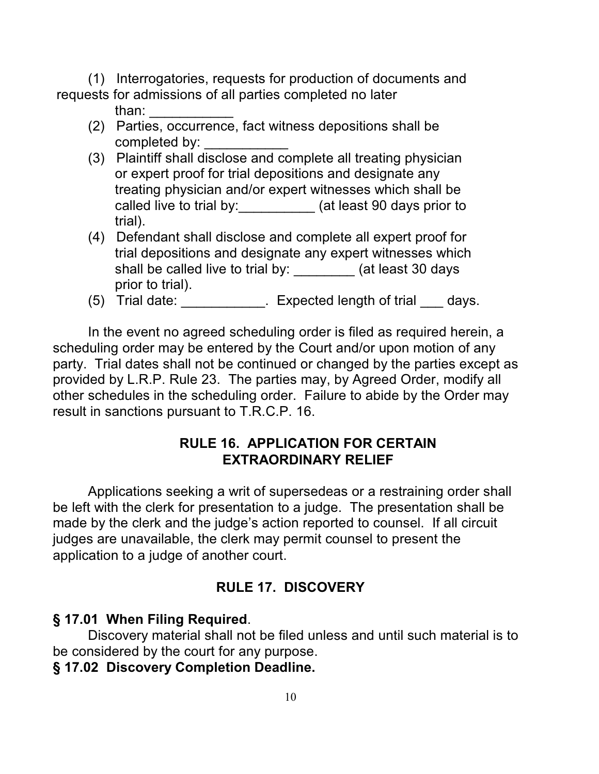(1) Interrogatories, requests for production of documents and requests for admissions of all parties completed no later

- than: \_\_\_\_\_\_\_\_\_\_\_
- (2) Parties, occurrence, fact witness depositions shall be completed by:
- (3) Plaintiff shall disclose and complete all treating physician or expert proof for trial depositions and designate any treating physician and/or expert witnesses which shall be called live to trial by:\_\_\_\_\_\_\_\_\_\_\_ (at least 90 days prior to trial).
- (4) Defendant shall disclose and complete all expert proof for trial depositions and designate any expert witnesses which shall be called live to trial by:  $($ at least 30 days prior to trial).
- (5) Trial date:  $\frac{1}{2}$  Expected length of trial days.

In the event no agreed scheduling order is filed as required herein, a scheduling order may be entered by the Court and/or upon motion of any party. Trial dates shall not be continued or changed by the parties except as provided by L.R.P. Rule 23. The parties may, by Agreed Order, modify all other schedules in the scheduling order. Failure to abide by the Order may result in sanctions pursuant to T.R.C.P. 16.

## **RULE 16. APPLICATION FOR CERTAIN EXTRAORDINARY RELIEF**

Applications seeking a writ of supersedeas or a restraining order shall be left with the clerk for presentation to a judge. The presentation shall be made by the clerk and the judge's action reported to counsel. If all circuit judges are unavailable, the clerk may permit counsel to present the application to a judge of another court.

# **RULE 17. DISCOVERY**

# **§ 17.01 When Filing Required**.

Discovery material shall not be filed unless and until such material is to be considered by the court for any purpose.

# **§ 17.02 Discovery Completion Deadline.**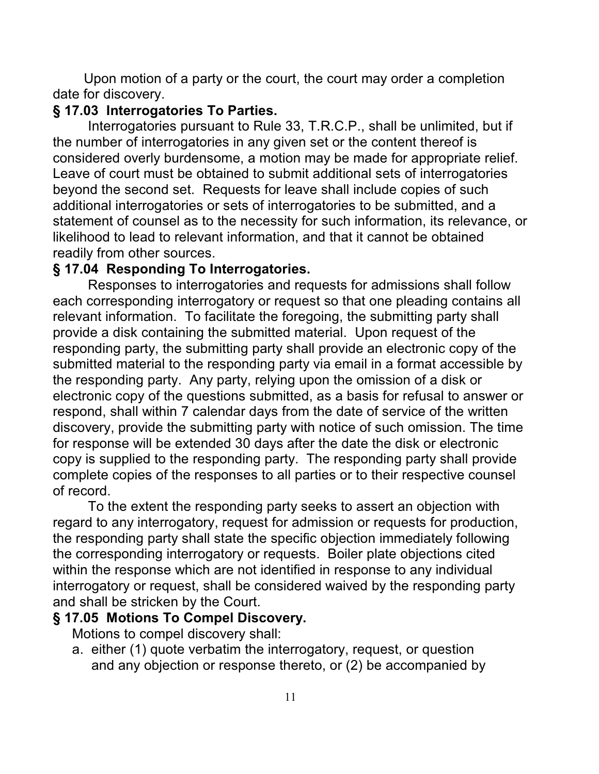Upon motion of a party or the court, the court may order a completion date for discovery.

### **§ 17.03 Interrogatories To Parties.**

Interrogatories pursuant to Rule 33, T.R.C.P., shall be unlimited, but if the number of interrogatories in any given set or the content thereof is considered overly burdensome, a motion may be made for appropriate relief. Leave of court must be obtained to submit additional sets of interrogatories beyond the second set. Requests for leave shall include copies of such additional interrogatories or sets of interrogatories to be submitted, and a statement of counsel as to the necessity for such information, its relevance, or likelihood to lead to relevant information, and that it cannot be obtained readily from other sources.

## **§ 17.04 Responding To Interrogatories.**

Responses to interrogatories and requests for admissions shall follow each corresponding interrogatory or request so that one pleading contains all relevant information. To facilitate the foregoing, the submitting party shall provide a disk containing the submitted material. Upon request of the responding party, the submitting party shall provide an electronic copy of the submitted material to the responding party via email in a format accessible by the responding party. Any party, relying upon the omission of a disk or electronic copy of the questions submitted, as a basis for refusal to answer or respond, shall within 7 calendar days from the date of service of the written discovery, provide the submitting party with notice of such omission. The time for response will be extended 30 days after the date the disk or electronic copy is supplied to the responding party. The responding party shall provide complete copies of the responses to all parties or to their respective counsel of record.

To the extent the responding party seeks to assert an objection with regard to any interrogatory, request for admission or requests for production, the responding party shall state the specific objection immediately following the corresponding interrogatory or requests. Boiler plate objections cited within the response which are not identified in response to any individual interrogatory or request, shall be considered waived by the responding party and shall be stricken by the Court.

### **§ 17.05 Motions To Compel Discovery.**

Motions to compel discovery shall:

 a. either (1) quote verbatim the interrogatory, request, or question and any objection or response thereto, or (2) be accompanied by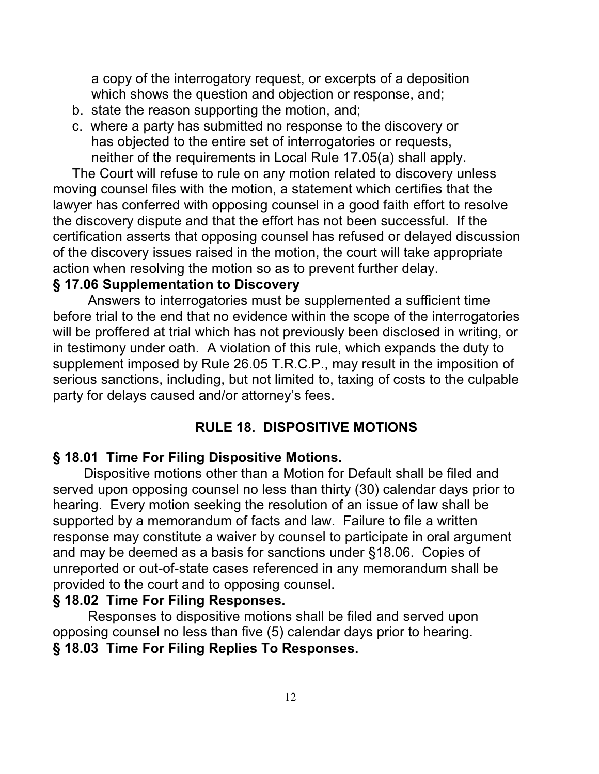a copy of the interrogatory request, or excerpts of a deposition which shows the question and objection or response, and;

- b. state the reason supporting the motion, and;
- c. where a party has submitted no response to the discovery or has objected to the entire set of interrogatories or requests, neither of the requirements in Local Rule 17.05(a) shall apply.

 The Court will refuse to rule on any motion related to discovery unless moving counsel files with the motion, a statement which certifies that the lawyer has conferred with opposing counsel in a good faith effort to resolve the discovery dispute and that the effort has not been successful. If the certification asserts that opposing counsel has refused or delayed discussion of the discovery issues raised in the motion, the court will take appropriate action when resolving the motion so as to prevent further delay.

#### **§ 17.06 Supplementation to Discovery**

Answers to interrogatories must be supplemented a sufficient time before trial to the end that no evidence within the scope of the interrogatories will be proffered at trial which has not previously been disclosed in writing, or in testimony under oath. A violation of this rule, which expands the duty to supplement imposed by Rule 26.05 T.R.C.P., may result in the imposition of serious sanctions, including, but not limited to, taxing of costs to the culpable party for delays caused and/or attorney's fees.

#### **RULE 18. DISPOSITIVE MOTIONS**

#### **§ 18.01 Time For Filing Dispositive Motions.**

 Dispositive motions other than a Motion for Default shall be filed and served upon opposing counsel no less than thirty (30) calendar days prior to hearing. Every motion seeking the resolution of an issue of law shall be supported by a memorandum of facts and law. Failure to file a written response may constitute a waiver by counsel to participate in oral argument and may be deemed as a basis for sanctions under §18.06. Copies of unreported or out-of-state cases referenced in any memorandum shall be provided to the court and to opposing counsel.

#### **§ 18.02 Time For Filing Responses.**

Responses to dispositive motions shall be filed and served upon opposing counsel no less than five (5) calendar days prior to hearing. **§ 18.03 Time For Filing Replies To Responses.**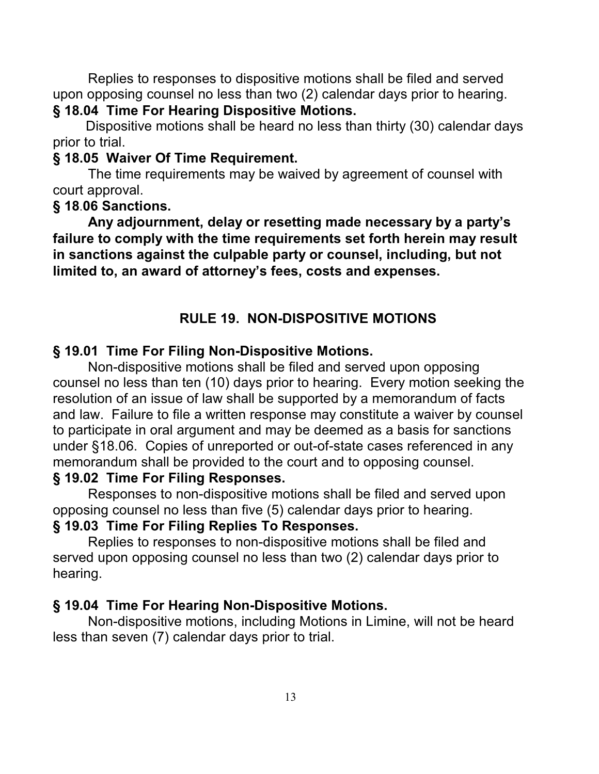Replies to responses to dispositive motions shall be filed and served upon opposing counsel no less than two (2) calendar days prior to hearing. **§ 18.04 Time For Hearing Dispositive Motions.**

 Dispositive motions shall be heard no less than thirty (30) calendar days prior to trial.

### **§ 18.05 Waiver Of Time Requirement.**

The time requirements may be waived by agreement of counsel with court approval.

### **§ 18**.**06 Sanctions.**

**Any adjournment, delay or resetting made necessary by a party's failure to comply with the time requirements set forth herein may result in sanctions against the culpable party or counsel, including, but not limited to, an award of attorney's fees, costs and expenses.**

## **RULE 19. NON-DISPOSITIVE MOTIONS**

### **§ 19.01 Time For Filing Non-Dispositive Motions.**

Non-dispositive motions shall be filed and served upon opposing counsel no less than ten (10) days prior to hearing. Every motion seeking the resolution of an issue of law shall be supported by a memorandum of facts and law. Failure to file a written response may constitute a waiver by counsel to participate in oral argument and may be deemed as a basis for sanctions under §18.06. Copies of unreported or out-of-state cases referenced in any memorandum shall be provided to the court and to opposing counsel.

#### **§ 19.02 Time For Filing Responses.**

Responses to non-dispositive motions shall be filed and served upon opposing counsel no less than five (5) calendar days prior to hearing.

### **§ 19.03 Time For Filing Replies To Responses.**

Replies to responses to non-dispositive motions shall be filed and served upon opposing counsel no less than two (2) calendar days prior to hearing.

### **§ 19.04 Time For Hearing Non-Dispositive Motions.**

Non-dispositive motions, including Motions in Limine, will not be heard less than seven (7) calendar days prior to trial.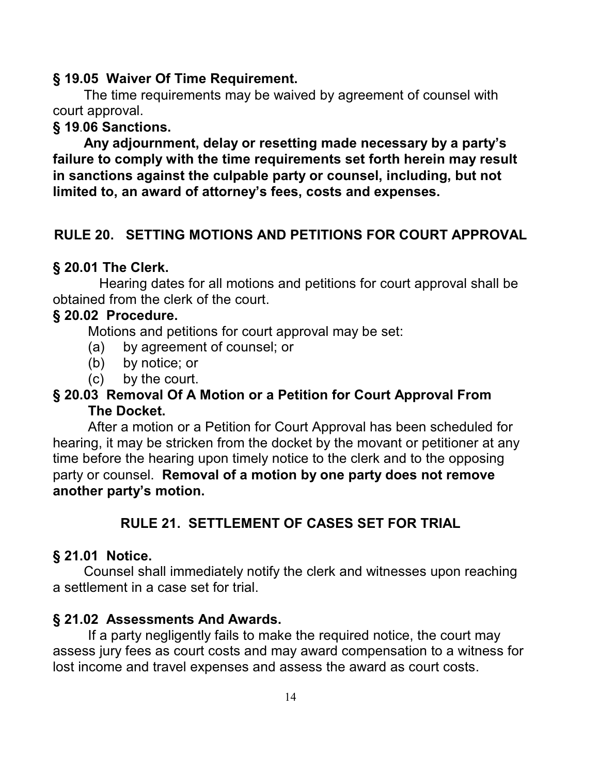#### **§ 19.05 Waiver Of Time Requirement.**

The time requirements may be waived by agreement of counsel with court approval.

### **§ 19**.**06 Sanctions.**

 **Any adjournment, delay or resetting made necessary by a party's failure to comply with the time requirements set forth herein may result in sanctions against the culpable party or counsel, including, but not limited to, an award of attorney's fees, costs and expenses.**

### **RULE 20. SETTING MOTIONS AND PETITIONS FOR COURT APPROVAL**

#### **§ 20.01 The Clerk.**

Hearing dates for all motions and petitions for court approval shall be obtained from the clerk of the court.

#### **§ 20.02 Procedure.**

Motions and petitions for court approval may be set:

- (a) by agreement of counsel; or
- (b) by notice; or
- (c) by the court.

### **§ 20.03 Removal Of A Motion or a Petition for Court Approval From The Docket.**

After a motion or a Petition for Court Approval has been scheduled for hearing, it may be stricken from the docket by the movant or petitioner at any time before the hearing upon timely notice to the clerk and to the opposing party or counsel. **Removal of a motion by one party does not remove another party's motion.**

# **RULE 21. SETTLEMENT OF CASES SET FOR TRIAL**

### **§ 21.01 Notice.**

 Counsel shall immediately notify the clerk and witnesses upon reaching a settlement in a case set for trial.

### **§ 21.02 Assessments And Awards.**

If a party negligently fails to make the required notice, the court may assess jury fees as court costs and may award compensation to a witness for lost income and travel expenses and assess the award as court costs.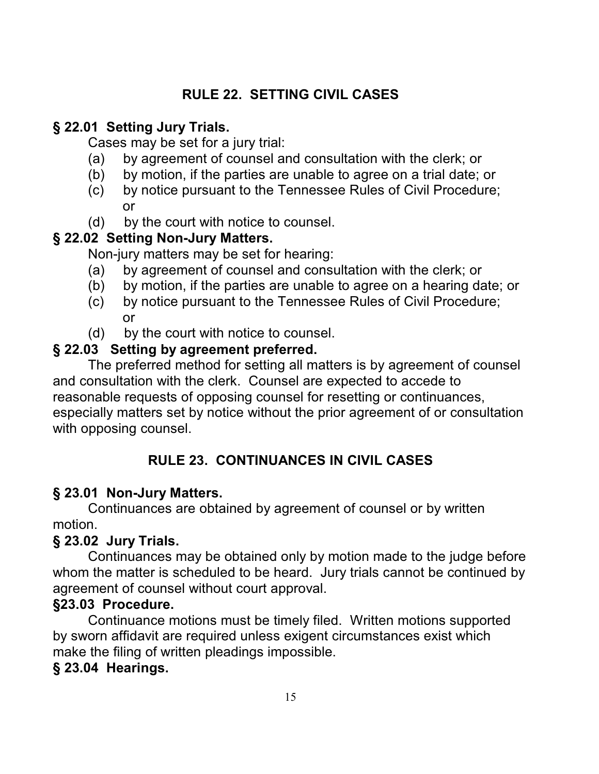# **RULE 22. SETTING CIVIL CASES**

# **§ 22.01 Setting Jury Trials.**

Cases may be set for a jury trial:

- (a) by agreement of counsel and consultation with the clerk; or
- (b) by motion, if the parties are unable to agree on a trial date; or
- (c) by notice pursuant to the Tennessee Rules of Civil Procedure; or
- (d) by the court with notice to counsel.

# **§ 22.02 Setting Non-Jury Matters.**

Non-jury matters may be set for hearing:

- (a) by agreement of counsel and consultation with the clerk; or
- (b) by motion, if the parties are unable to agree on a hearing date; or
- (c) by notice pursuant to the Tennessee Rules of Civil Procedure; or
- (d) by the court with notice to counsel.

# **§ 22.03 Setting by agreement preferred.**

The preferred method for setting all matters is by agreement of counsel and consultation with the clerk. Counsel are expected to accede to reasonable requests of opposing counsel for resetting or continuances, especially matters set by notice without the prior agreement of or consultation with opposing counsel.

# **RULE 23. CONTINUANCES IN CIVIL CASES**

# **§ 23.01 Non-Jury Matters.**

Continuances are obtained by agreement of counsel or by written motion.

# **§ 23.02 Jury Trials.**

Continuances may be obtained only by motion made to the judge before whom the matter is scheduled to be heard. Jury trials cannot be continued by agreement of counsel without court approval.

# **§23.03 Procedure.**

Continuance motions must be timely filed. Written motions supported by sworn affidavit are required unless exigent circumstances exist which make the filing of written pleadings impossible.

# **§ 23.04 Hearings.**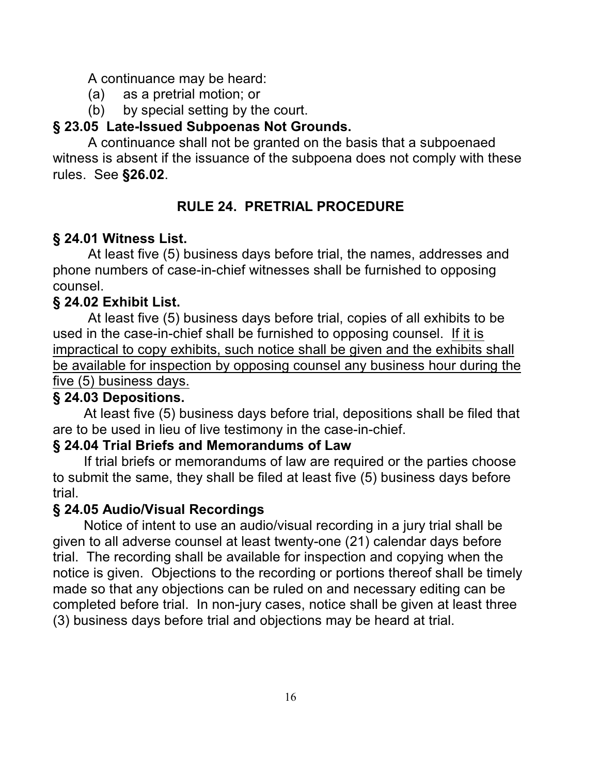A continuance may be heard:

- (a) as a pretrial motion; or
- (b) by special setting by the court.

# **§ 23.05 Late-Issued Subpoenas Not Grounds.**

A continuance shall not be granted on the basis that a subpoenaed witness is absent if the issuance of the subpoena does not comply with these rules. See **§26.02**.

# **RULE 24. PRETRIAL PROCEDURE**

# **§ 24.01 Witness List.**

At least five (5) business days before trial, the names, addresses and phone numbers of case-in-chief witnesses shall be furnished to opposing counsel.

## **§ 24.02 Exhibit List.**

At least five (5) business days before trial, copies of all exhibits to be used in the case-in-chief shall be furnished to opposing counsel. If it is impractical to copy exhibits, such notice shall be given and the exhibits shall be available for inspection by opposing counsel any business hour during the five (5) business days.

### **§ 24.03 Depositions.**

At least five (5) business days before trial, depositions shall be filed that are to be used in lieu of live testimony in the case-in-chief.

### **§ 24.04 Trial Briefs and Memorandums of Law**

 If trial briefs or memorandums of law are required or the parties choose to submit the same, they shall be filed at least five (5) business days before trial.

### **§ 24.05 Audio/Visual Recordings**

Notice of intent to use an audio/visual recording in a jury trial shall be given to all adverse counsel at least twenty-one (21) calendar days before trial. The recording shall be available for inspection and copying when the notice is given. Objections to the recording or portions thereof shall be timely made so that any objections can be ruled on and necessary editing can be completed before trial. In non-jury cases, notice shall be given at least three (3) business days before trial and objections may be heard at trial.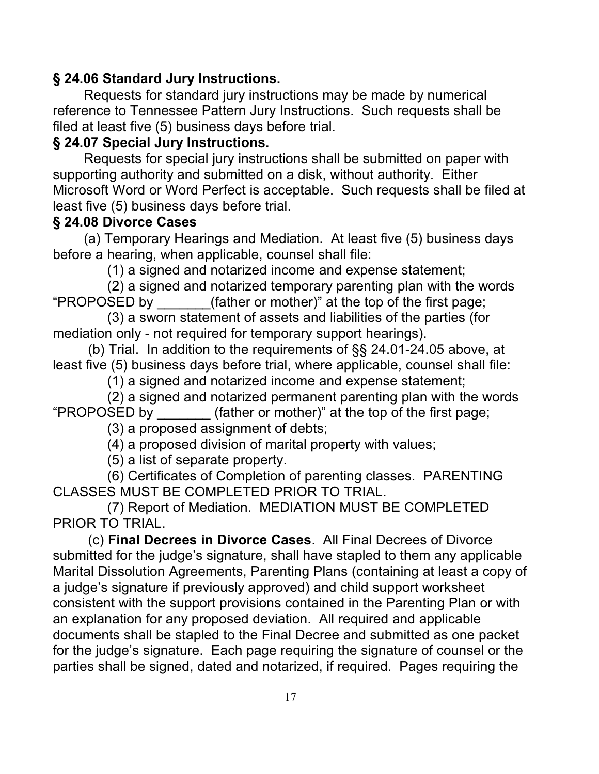# **§ 24.06 Standard Jury Instructions.**

Requests for standard jury instructions may be made by numerical reference to Tennessee Pattern Jury Instructions. Such requests shall be filed at least five (5) business days before trial.

### **§ 24.07 Special Jury Instructions.**

 Requests for special jury instructions shall be submitted on paper with supporting authority and submitted on a disk, without authority. Either Microsoft Word or Word Perfect is acceptable. Such requests shall be filed at least five (5) business days before trial.

### **§ 24.08 Divorce Cases**

(a) Temporary Hearings and Mediation. At least five (5) business days before a hearing, when applicable, counsel shall file:

(1) a signed and notarized income and expense statement;

 (2) a signed and notarized temporary parenting plan with the words "PROPOSED by \_\_\_\_\_\_\_(father or mother)" at the top of the first page;

 (3) a sworn statement of assets and liabilities of the parties (for mediation only - not required for temporary support hearings).

(b) Trial. In addition to the requirements of §§ 24.01-24.05 above, at least five (5) business days before trial, where applicable, counsel shall file:

(1) a signed and notarized income and expense statement;

 (2) a signed and notarized permanent parenting plan with the words "PROPOSED by \_\_\_\_\_\_\_ (father or mother)" at the top of the first page;

(3) a proposed assignment of debts;

(4) a proposed division of marital property with values;

(5) a list of separate property.

 (6) Certificates of Completion of parenting classes. PARENTING CLASSES MUST BE COMPLETED PRIOR TO TRIAL.

 (7) Report of Mediation. MEDIATION MUST BE COMPLETED PRIOR TO TRIAL.

(c) **Final Decrees in Divorce Cases**. All Final Decrees of Divorce submitted for the judge's signature, shall have stapled to them any applicable Marital Dissolution Agreements, Parenting Plans (containing at least a copy of a judge's signature if previously approved) and child support worksheet consistent with the support provisions contained in the Parenting Plan or with an explanation for any proposed deviation. All required and applicable documents shall be stapled to the Final Decree and submitted as one packet for the judge's signature. Each page requiring the signature of counsel or the parties shall be signed, dated and notarized, if required. Pages requiring the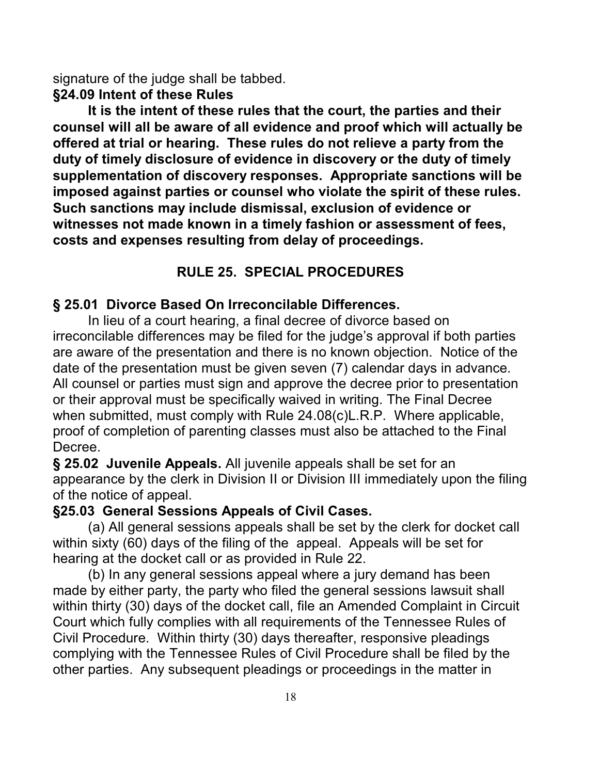signature of the judge shall be tabbed.

### **§24.09 Intent of these Rules**

**It is the intent of these rules that the court, the parties and their counsel will all be aware of all evidence and proof which will actually be offered at trial or hearing. These rules do not relieve a party from the duty of timely disclosure of evidence in discovery or the duty of timely supplementation of discovery responses. Appropriate sanctions will be imposed against parties or counsel who violate the spirit of these rules. Such sanctions may include dismissal, exclusion of evidence or witnesses not made known in a timely fashion or assessment of fees, costs and expenses resulting from delay of proceedings.**

### **RULE 25. SPECIAL PROCEDURES**

### **§ 25.01 Divorce Based On Irreconcilable Differences.**

In lieu of a court hearing, a final decree of divorce based on irreconcilable differences may be filed for the judge's approval if both parties are aware of the presentation and there is no known objection. Notice of the date of the presentation must be given seven (7) calendar days in advance. All counsel or parties must sign and approve the decree prior to presentation or their approval must be specifically waived in writing. The Final Decree when submitted, must comply with Rule 24.08(c)L.R.P. Where applicable, proof of completion of parenting classes must also be attached to the Final Decree.

**§ 25.02 Juvenile Appeals.** All juvenile appeals shall be set for an appearance by the clerk in Division II or Division III immediately upon the filing of the notice of appeal.

### **§25.03 General Sessions Appeals of Civil Cases.**

(a) All general sessions appeals shall be set by the clerk for docket call within sixty (60) days of the filing of the appeal. Appeals will be set for hearing at the docket call or as provided in Rule 22.

(b) In any general sessions appeal where a jury demand has been made by either party, the party who filed the general sessions lawsuit shall within thirty (30) days of the docket call, file an Amended Complaint in Circuit Court which fully complies with all requirements of the Tennessee Rules of Civil Procedure. Within thirty (30) days thereafter, responsive pleadings complying with the Tennessee Rules of Civil Procedure shall be filed by the other parties. Any subsequent pleadings or proceedings in the matter in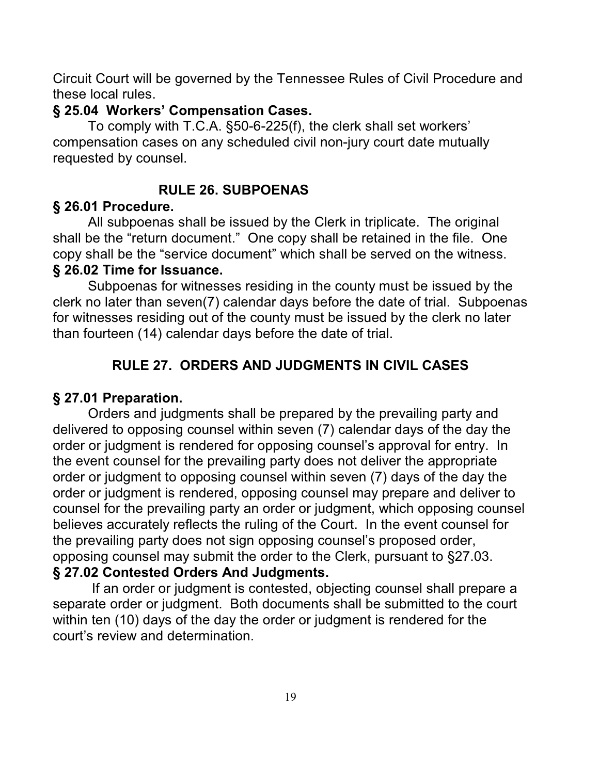Circuit Court will be governed by the Tennessee Rules of Civil Procedure and these local rules.

### **§ 25.04 Workers' Compensation Cases.**

To comply with T.C.A. §50-6-225(f), the clerk shall set workers' compensation cases on any scheduled civil non-jury court date mutually requested by counsel.

## **RULE 26. SUBPOENAS**

### **§ 26.01 Procedure.**

All subpoenas shall be issued by the Clerk in triplicate. The original shall be the "return document." One copy shall be retained in the file. One copy shall be the "service document" which shall be served on the witness. **§ 26.02 Time for Issuance.**

Subpoenas for witnesses residing in the county must be issued by the clerk no later than seven(7) calendar days before the date of trial. Subpoenas for witnesses residing out of the county must be issued by the clerk no later than fourteen (14) calendar days before the date of trial.

## **RULE 27. ORDERS AND JUDGMENTS IN CIVIL CASES**

### **§ 27.01 Preparation.**

Orders and judgments shall be prepared by the prevailing party and delivered to opposing counsel within seven (7) calendar days of the day the order or judgment is rendered for opposing counsel's approval for entry. In the event counsel for the prevailing party does not deliver the appropriate order or judgment to opposing counsel within seven (7) days of the day the order or judgment is rendered, opposing counsel may prepare and deliver to counsel for the prevailing party an order or judgment, which opposing counsel believes accurately reflects the ruling of the Court. In the event counsel for the prevailing party does not sign opposing counsel's proposed order, opposing counsel may submit the order to the Clerk, pursuant to §27.03. **§ 27.02 Contested Orders And Judgments.**

 If an order or judgment is contested, objecting counsel shall prepare a separate order or judgment. Both documents shall be submitted to the court within ten (10) days of the day the order or judgment is rendered for the court's review and determination.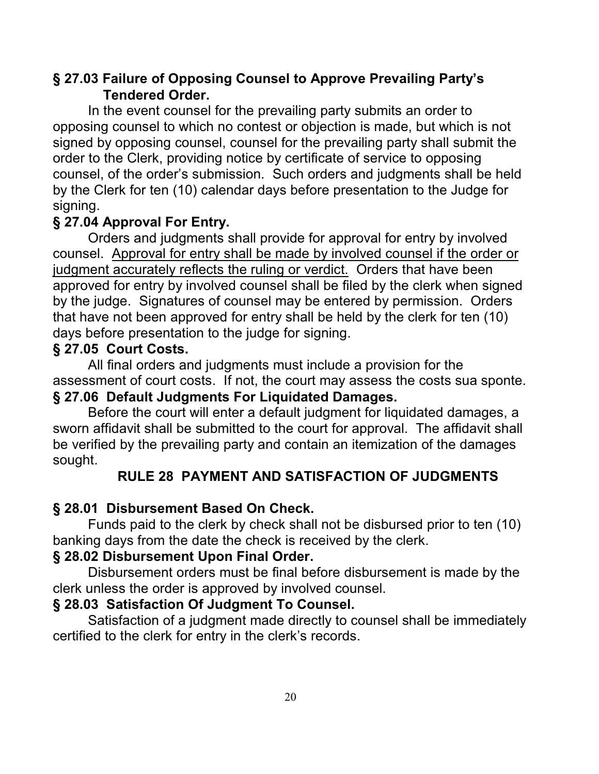## **§ 27.03 Failure of Opposing Counsel to Approve Prevailing Party's Tendered Order.**

In the event counsel for the prevailing party submits an order to opposing counsel to which no contest or objection is made, but which is not signed by opposing counsel, counsel for the prevailing party shall submit the order to the Clerk, providing notice by certificate of service to opposing counsel, of the order's submission. Such orders and judgments shall be held by the Clerk for ten (10) calendar days before presentation to the Judge for signing.

### **§ 27.04 Approval For Entry.**

Orders and judgments shall provide for approval for entry by involved counsel. Approval for entry shall be made by involved counsel if the order or judgment accurately reflects the ruling or verdict. Orders that have been approved for entry by involved counsel shall be filed by the clerk when signed by the judge. Signatures of counsel may be entered by permission. Orders that have not been approved for entry shall be held by the clerk for ten (10) days before presentation to the judge for signing.

### **§ 27.05 Court Costs.**

All final orders and judgments must include a provision for the assessment of court costs. If not, the court may assess the costs sua sponte.

### **§ 27.06 Default Judgments For Liquidated Damages.**

Before the court will enter a default judgment for liquidated damages, a sworn affidavit shall be submitted to the court for approval. The affidavit shall be verified by the prevailing party and contain an itemization of the damages sought.

### **RULE 28 PAYMENT AND SATISFACTION OF JUDGMENTS**

### **§ 28.01 Disbursement Based On Check.**

Funds paid to the clerk by check shall not be disbursed prior to ten (10) banking days from the date the check is received by the clerk.

### **§ 28.02 Disbursement Upon Final Order.**

Disbursement orders must be final before disbursement is made by the clerk unless the order is approved by involved counsel.

### **§ 28.03 Satisfaction Of Judgment To Counsel.**

Satisfaction of a judgment made directly to counsel shall be immediately certified to the clerk for entry in the clerk's records.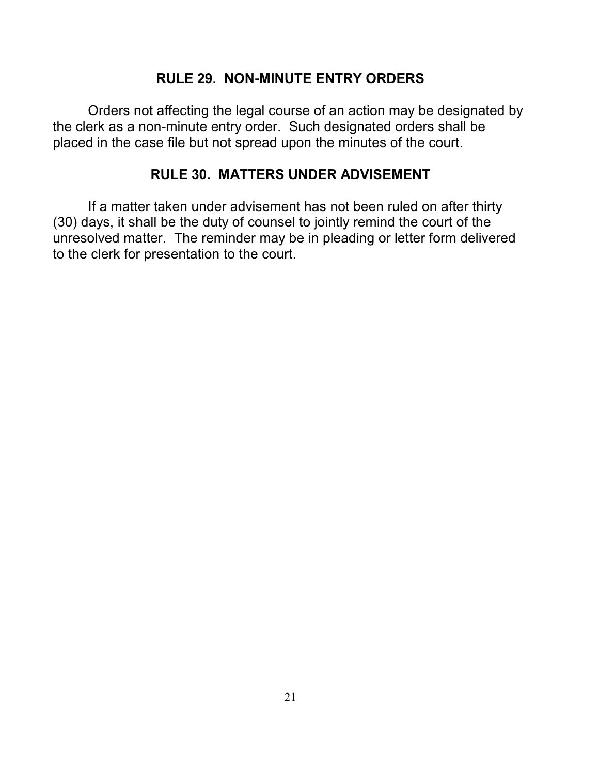### **RULE 29. NON-MINUTE ENTRY ORDERS**

Orders not affecting the legal course of an action may be designated by the clerk as a non-minute entry order. Such designated orders shall be placed in the case file but not spread upon the minutes of the court.

### **RULE 30. MATTERS UNDER ADVISEMENT**

If a matter taken under advisement has not been ruled on after thirty (30) days, it shall be the duty of counsel to jointly remind the court of the unresolved matter. The reminder may be in pleading or letter form delivered to the clerk for presentation to the court.